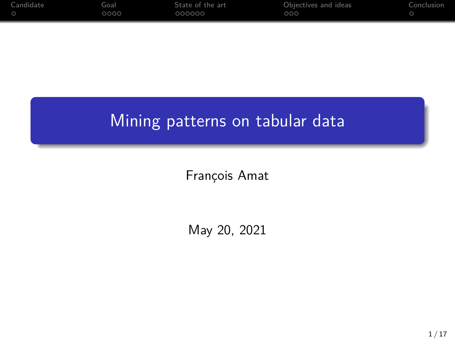| 0000 | 000000 | 000 |  |
|------|--------|-----|--|

# Mining patterns on tabular data

François Amat

May 20, 2021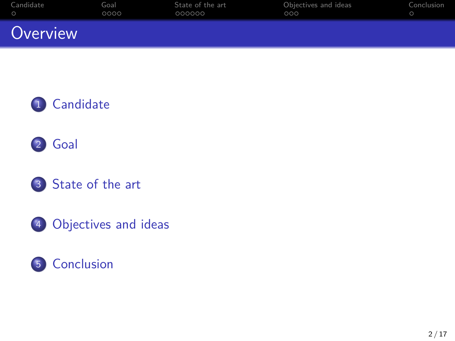| Candidate | Goal | State of the art | Objectives and ideas | Conclusion |
|-----------|------|------------------|----------------------|------------|
| $\circ$   | 0000 | 000000           | 000                  |            |
| Overview  |      |                  |                      |            |





- [State of the art](#page-7-0)
- [Objectives and ideas](#page-13-0)

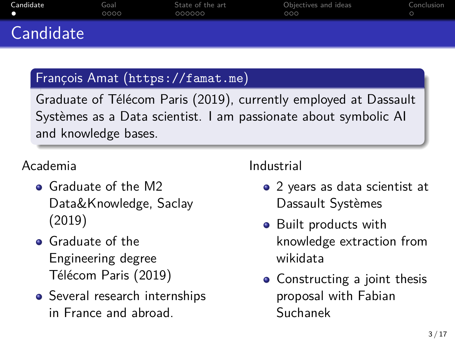<span id="page-2-0"></span>

| Candidate | Goal<br>0000 | State of the art<br>000000 | Objectives and ideas<br>000 | Conclusion |
|-----------|--------------|----------------------------|-----------------------------|------------|
| Candidate |              |                            |                             |            |

## François Amat (<https://famat.me>)

Graduate of Télécom Paris (2019), currently employed at Dassault Systèmes as a Data scientist. I am passionate about symbolic AI and knowledge bases.

## Academia

- Graduate of the M2 Data&Knowledge, Saclay (2019)
- **o** Graduate of the Engineering degree Télécom Paris (2019)
- Several research internships in France and abroad.

## Industrial

- 2 years as data scientist at Dassault Systèmes
- Built products with knowledge extraction from wikidata
- Constructing a joint thesis proposal with Fabian Suchanek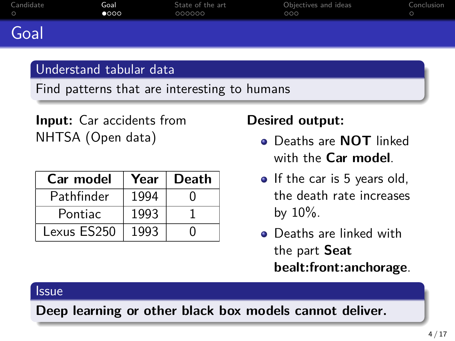<span id="page-3-0"></span>

| Candidate | Goal          | State of the art | Objectives and ideas | Conclusion |
|-----------|---------------|------------------|----------------------|------------|
| $\circ$   | $\bullet$ 000 | 000000           | 000                  |            |
| Goal      |               |                  |                      |            |

## Understand tabular data

Find patterns that are interesting to humans

**Input:** Car accidents from NHTSA (Open data)

| Car model   | Year | <b>Death</b> |
|-------------|------|--------------|
| Pathfinder  | 1994 |              |
| Pontiac     | 1993 |              |
| Lexus ES250 | 1993 |              |

## **Desired output:**

- Deaths are **NOT** linked with the **Car model**.
- If the car is 5 years old, the death rate increases by  $10\%$ .
- **•** Deaths are linked with the part **Seat bealt:front:anchorage**.

## **Issue**

**Deep learning or other black box models cannot deliver.**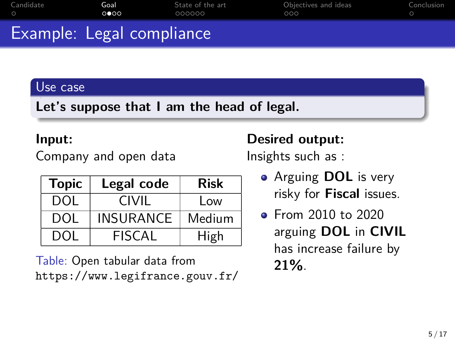| Example: Legal compliance |              |                            |                             |            |
|---------------------------|--------------|----------------------------|-----------------------------|------------|
| Candidate                 | Goal<br>ററേറ | State of the art<br>000000 | Obiectives and ideas<br>000 | Conclusion |

### Use case

**Let's suppose that I am the head of legal.**

#### **Input:**

Company and open data

| <b>Topic</b> | Legal code       | <b>Risk</b> |
|--------------|------------------|-------------|
| DOL.         | CIVII            | Low         |
| DOL.         | <b>INSURANCE</b> | Medium      |
| <b>DOI</b>   | FISCAL           | High        |

Table: Open tabular data from <https://www.legifrance.gouv.fr/>

## **Desired output:**

Insights such as :

- Arguing **DOL** is very risky for **Fiscal** issues.
- **•** From 2010 to 2020 arguing **DOL** in **CIVIL** has increase failure by **21%**.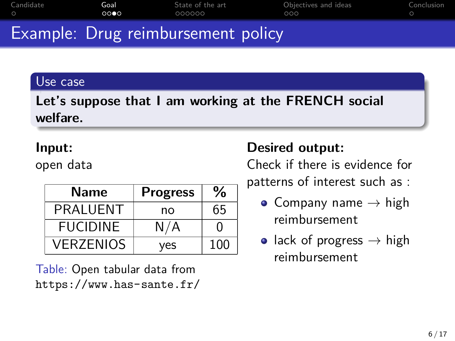|           |       | Example: Drug reimbursement policy |                      |            |
|-----------|-------|------------------------------------|----------------------|------------|
| $\bigcap$ | 0000  | 000000                             | 000                  |            |
| Candidate | Goal: | State of the art                   | Obiectives and ideas | Conclusion |

#### Use case

## **Let's suppose that I am working at the FRENCH social welfare.**

### **Input:**

open data

| Name             | <b>Progress</b> | $\%$         |
|------------------|-----------------|--------------|
| <b>PRAI UENT</b> | no              | 65           |
| <b>FUCIDINE</b>  | N/A             | $\mathbf{I}$ |
| <b>VERZENIOS</b> | ves             | 100          |

Table: Open tabular data from <https://www.has-sante.fr/>

## **Desired output:**

Check if there is evidence for patterns of interest such as :

- Company name  $\rightarrow$  high reimbursement
- lack of progress  $\rightarrow$  high reimbursement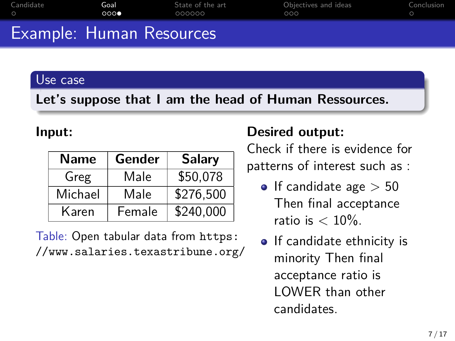| Candidate                | Goal<br>0000 | State of the art<br>000000 | Objectives and ideas<br>000 | Conclusion |
|--------------------------|--------------|----------------------------|-----------------------------|------------|
| Example: Human Resources |              |                            |                             |            |

#### Use case

**Let's suppose that I am the head of Human Ressources.**

#### **Input:**

| <b>Name</b> | Gender | <b>Salary</b> |
|-------------|--------|---------------|
| Greg        | Male   | \$50,078      |
| Michael     | Male   | \$276,500     |
| Karen       | Female | \$240,000     |

Table: Open tabular data from [https:](https://www.salaries.texastribune.org/) [//www.salaries.texastribune.org/](https://www.salaries.texastribune.org/)

## **Desired output:**

Check if there is evidence for patterns of interest such as :

- If candidate age  $> 50$ Then final acceptance ratio is  $< 10\%$ .
- If candidate ethnicity is minority Then final acceptance ratio is LOWER than other candidates.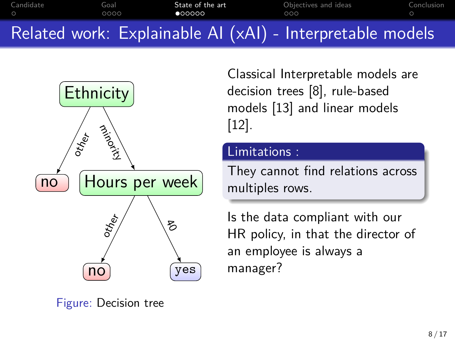<span id="page-7-0"></span>[Candidate](#page-2-0) [Goal](#page-3-0) **[State of the art](#page-7-0)** [Objectives and ideas](#page-13-0) [Conclusion](#page-16-0) oooo  $\bullet$ 00000  $000$ Related work: Explainable AI (xAI) - Interpretable models



Classical Interpretable models are decision trees [\[8\]](#page-19-0), rule-based models [\[13\]](#page-21-0) and linear models [\[12\]](#page-20-0).

#### Limitations :

They cannot find relations across multiples rows.

Is the data compliant with our HR policy, in that the director of an employee is always a manager?

Figure: Decision tree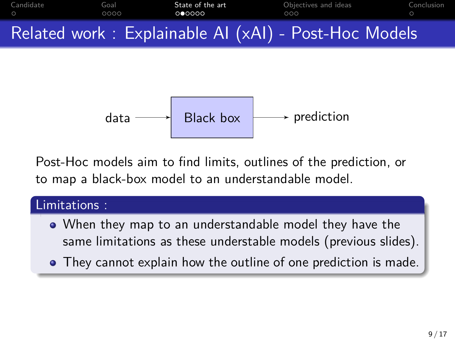

$$
data \longrightarrow
$$
 Black box  $prediction$ 

Post-Hoc models aim to find limits, outlines of the prediction, or to map a black-box model to an understandable model.

## Limitations :

- When they map to an understandable model they have the same limitations as these understable models (previous slides).
- They cannot explain how the outline of one prediction is made.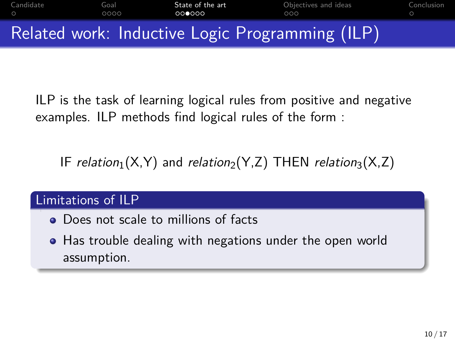

ILP is the task of learning logical rules from positive and negative examples. ILP methods find logical rules of the form :

IF relation<sub>1</sub>(X,Y) and relation<sub>2</sub>(Y,Z) THEN relation<sub>3</sub>(X,Z)

#### Limitations of ILP

- Does not scale to millions of facts
- Has trouble dealing with negations under the open world assumption.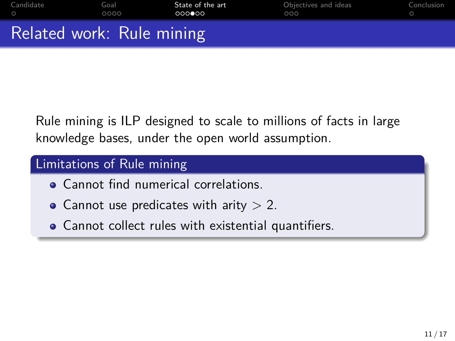| Candidate                 | Goal | State of the art | Obiectives and ideas | Conclusion |
|---------------------------|------|------------------|----------------------|------------|
| $\circ$                   | 0000 | റററ⊜റെ           | റററ                  |            |
| Related work: Rule mining |      |                  |                      |            |

Rule mining is ILP designed to scale to millions of facts in large knowledge bases, under the open world assumption.

## Limitations of Rule mining

- **Cannot find numerical correlations.**
- Cannot use predicates with arity  $> 2$ .
- Cannot collect rules with existential quantifiers.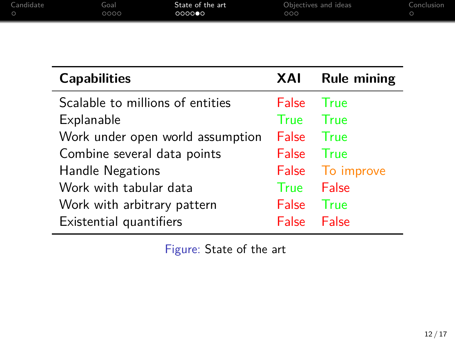| Candidate | Goal | State of the art | Objectives and ideas | Conclusion |
|-----------|------|------------------|----------------------|------------|
|           | 0000 | 000000           | ೦೦೦                  |            |
|           |      |                  |                      |            |

| <b>Capabilities</b>              | XAI          | <b>Rule mining</b> |
|----------------------------------|--------------|--------------------|
| Scalable to millions of entities | False        | True               |
| Explanable                       | <b>True</b>  | True               |
| Work under open world assumption | <b>False</b> | - True             |
| Combine several data points      | <b>False</b> | <b>True</b>        |
| Handle Negations                 |              | False To improve   |
| Work with tabular data           | True         | False              |
| Work with arbitrary pattern      | <b>False</b> | True               |
| Existential quantifiers          | False        | False              |

Figure: State of the art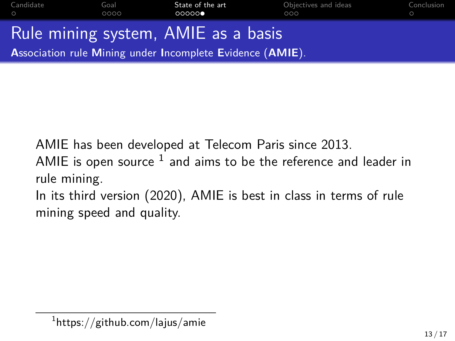| Candidate<br>$\circ$ | Goal<br>0000 | State of the art<br>00000                                        | Obiectives and ideas<br>000 | Conclusion<br>$\circ$ |
|----------------------|--------------|------------------------------------------------------------------|-----------------------------|-----------------------|
|                      |              | Rule mining system, AMIE as a basis                              |                             |                       |
|                      |              | <b>Association rule Mining under Incomplete Evidence (AMIE).</b> |                             |                       |

AMIE has been developed at Telecom Paris since 2013.

AMIE is open source  $^1$  and aims to be the reference and leader in rule mining.

In its third version (2020), AMIE is best in class in terms of rule mining speed and quality.

 $^{\rm 1}$ https://github.com/lajus/amie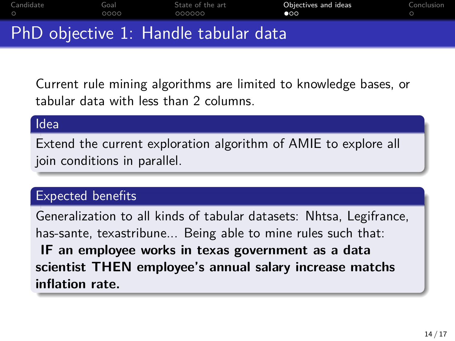<span id="page-13-0"></span>[Candidate](#page-2-0) [Goal](#page-3-0) [State of the art](#page-7-0) **[Objectives and ideas](#page-13-0)** [Conclusion](#page-16-0) oooo  $\bullet$ PhD objective 1: Handle tabular data

Current rule mining algorithms are limited to knowledge bases, or tabular data with less than 2 columns.

#### Idea

Extend the current exploration algorithm of AMIE to explore all join conditions in parallel.

## Expected benefits

Generalization to all kinds of tabular datasets: Nhtsa, Legifrance, has-sante, texastribune... Being able to mine rules such that: **IF an employee works in texas government as a data scientist THEN employee's annual salary increase matchs inflation rate.**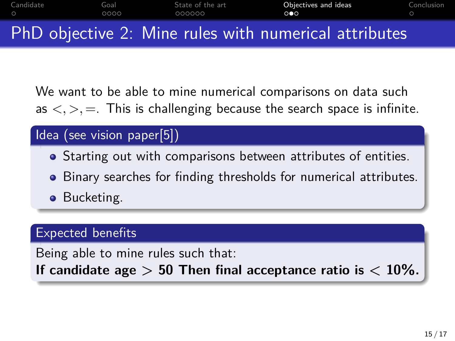

We want to be able to mine numerical comparisons on data such as  $\langle \cdot, \cdot \rangle$ ,  $=$ . This is challenging because the search space is infinite.

## Idea (see vision paper[\[5\]](#page-18-0))

- Starting out with comparisons between attributes of entities.
- Binary searches for finding thresholds for numerical attributes.
- **•** Bucketing.

## Expected benefits

Being able to mine rules such that:

If candidate age  $> 50$  Then final acceptance ratio is  $< 10\%$ .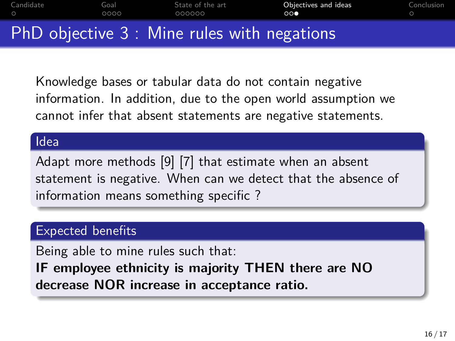[Candidate](#page-2-0) [Goal](#page-3-0) [State of the art](#page-7-0) **[Objectives and ideas](#page-13-0)** [Conclusion](#page-16-0) oooo  $000$ PhD objective 3 : Mine rules with negations

Knowledge bases or tabular data do not contain negative information. In addition, due to the open world assumption we cannot infer that absent statements are negative statements.

#### Idea

Adapt more methods [\[9\]](#page-19-1) [\[7\]](#page-19-2) that estimate when an absent statement is negative. When can we detect that the absence of information means something specific ?

## Expected benefits

Being able to mine rules such that:

**IF employee ethnicity is majority THEN there are NO decrease NOR increase in acceptance ratio.**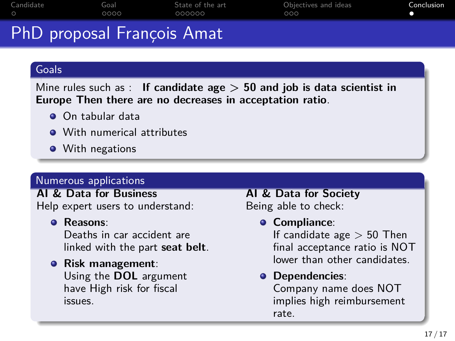<span id="page-16-0"></span>

| $\sim$ $\sim$ |      |                  |                      |            |
|---------------|------|------------------|----------------------|------------|
|               | 0000 | 000000           | 000                  |            |
| Candidate     | Goal | State of the art | Objectives and ideas | Conclusion |

# PhD proposal François Amat

#### **Goals**

Mine rules such as : **If candidate age > 50 and job is data scientist in Europe Then there are no decreases in acceptation ratio**.

- **On tabular data**
- **With numerical attributes**
- **•** With negations

#### Numerous applications

**AI & Data for Business** Help expert users to understand:

#### **Reasons**:

issues.

Deaths in car accident are linked with the part **seat belt**.

#### **Risk management**: Using the **DOL** argument have High risk for fiscal

**AI & Data for Society** Being able to check:

#### **Compliance**:

If candidate age  $> 50$  Then final acceptance ratio is NOT lower than other candidates.

#### **Dependencies**:

Company name does NOT implies high reimbursement rate.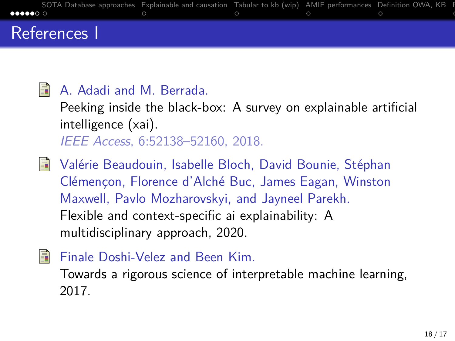

#### <span id="page-17-0"></span>S. A. Adadi and M. Berrada.

Peeking inside the black-box: A survey on explainable artificial intelligence (xai). IEEE Access, 6:52138–52160, 2018.

- <span id="page-17-2"></span>Valérie Beaudouin, Isabelle Bloch, David Bounie, Stéphan 暈 Clémençon, Florence d'Alché Buc, James Eagan, Winston Maxwell, Pavlo Mozharovskyi, and Jayneel Parekh. Flexible and context-specific ai explainability: A multidisciplinary approach, 2020.
- <span id="page-17-1"></span>螶 Finale Doshi-Velez and Been Kim.

Towards a rigorous science of interpretable machine learning, 2017.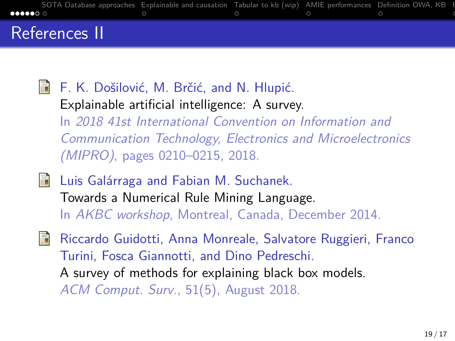

<span id="page-18-1"></span>譶 F. K. Došilović, M. Brčić, and N. Hlupić. Explainable artificial intelligence: A survey. In 2018 41st International Convention on Information and Communication Technology, Electronics and Microelectronics (MIPRO), pages 0210–0215, 2018.

<span id="page-18-0"></span>譶 Luis Galárraga and Fabian M. Suchanek. Towards a Numerical Rule Mining Language. In AKBC workshop, Montreal, Canada, December 2014.

<span id="page-18-2"></span>畐 Riccardo Guidotti, Anna Monreale, Salvatore Ruggieri, Franco Turini, Fosca Giannotti, and Dino Pedreschi. A survey of methods for explaining black box models. ACM Comput. Surv., 51(5), August 2018.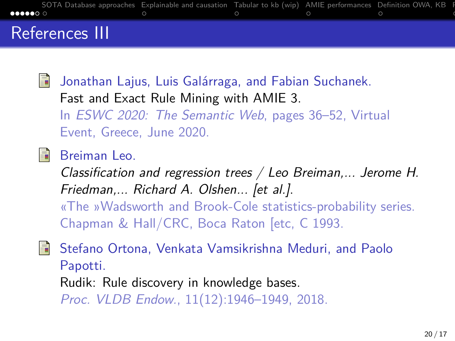

<span id="page-19-2"></span>暈 Jonathan Lajus, Luis Galárraga, and Fabian Suchanek. Fast and Exact Rule Mining with AMIE 3. In ESWC 2020: The Semantic Web, pages 36–52, Virtual Event, Greece, June 2020.

<span id="page-19-0"></span>Breiman Leo. E.

> Classification and regression trees / Leo Breiman,... Jerome H. Friedman,... Richard A. Olshen... [et al.].

> «The »Wadsworth and Brook-Cole statistics-probability series. Chapman & Hall/CRC, Boca Raton [etc, C 1993.

<span id="page-19-1"></span>Stefano Ortona, Venkata Vamsikrishna Meduri, and Paolo 螶 Papotti. Rudik: Rule discovery in knowledge bases.

Proc. VLDB Endow., 11(12):1946–1949, 2018.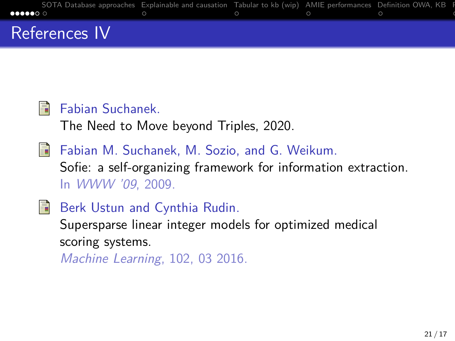

#### <span id="page-20-2"></span>量 Fabian Suchanek.

The Need to Move beyond Triples, 2020.

- <span id="page-20-1"></span>量 Fabian M. Suchanek, M. Sozio, and G. Weikum. Sofie: a self-organizing framework for information extraction. In WWW '09, 2009.
- <span id="page-20-0"></span>量 Berk Ustun and Cynthia Rudin.

Supersparse linear integer models for optimized medical scoring systems.

Machine Learning, 102, 03 2016.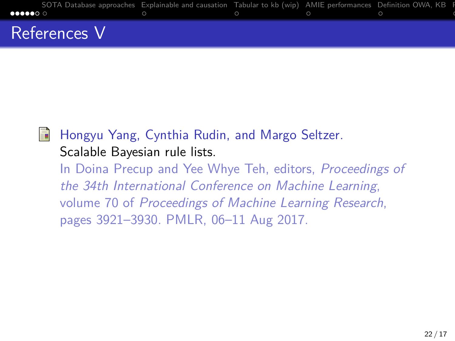

<span id="page-21-0"></span>

Hongyu Yang, Cynthia Rudin, and Margo Seltzer. Scalable Bayesian rule lists.

In Doina Precup and Yee Whye Teh, editors, Proceedings of the 34th International Conference on Machine Learning, volume 70 of Proceedings of Machine Learning Research, pages 3921–3930. PMLR, 06–11 Aug 2017.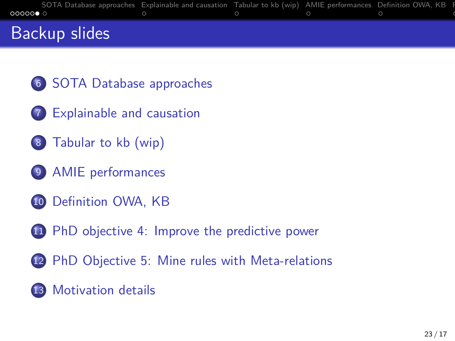| 0000000              | SOTA Database approaches Explainable and causation Tabular to kb (wip) AMIE performances Definition OWA, KB F<br>$\circ$ $\qquad \qquad \circ$ $\qquad \qquad \circ$ $\qquad \qquad \circ$ |  |  |
|----------------------|--------------------------------------------------------------------------------------------------------------------------------------------------------------------------------------------|--|--|
| <b>Backup slides</b> |                                                                                                                                                                                            |  |  |

- [SOTA Database approaches](#page-23-0)
- [Explainable and causation](#page-24-0)
- [Tabular to kb \(wip\)](#page-25-0)
- [AMIE performances](#page-26-0)
- [Definition OWA, KB](#page-27-0)
- [PhD objective 4: Improve the predictive power](#page-28-0)
- [PhD Objective 5: Mine rules with Meta-relations](#page-29-0)
- [Motivation details](#page-30-0)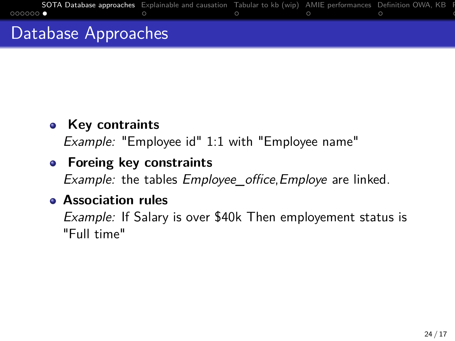<span id="page-23-0"></span>

## **•** Key contraints

Example: "Employee id" 1:1 with "Employee name"

## **Foreing key constraints**

Example: the tables Employee\_office, Employe are linked.

## **Association rules**

Example: If Salary is over \$40k Then employement status is "Full time"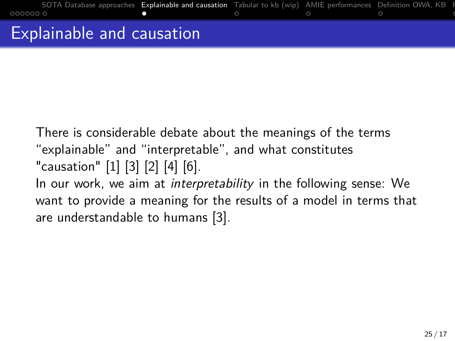<span id="page-24-0"></span>

There is considerable debate about the meanings of the terms "explainable" and "interpretable", and what constitutes "causation" [\[1\]](#page-17-0) [\[3\]](#page-17-1) [\[2\]](#page-17-2) [\[4\]](#page-18-1) [\[6\]](#page-18-2). In our work, we aim at *interpretability* in the following sense: We want to provide a meaning for the results of a model in terms that

are understandable to humans [\[3\]](#page-17-1).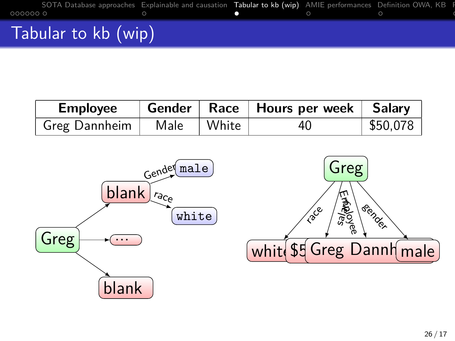<span id="page-25-0"></span>

| <b>Employee</b>              |  | Gender   Race   Hours per week   Salary |                        |
|------------------------------|--|-----------------------------------------|------------------------|
| Greg Dannheim   Male   White |  | 40                                      | $\frac{1}{2}$ \$50,078 |

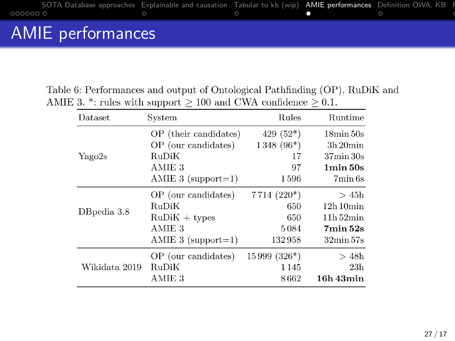<span id="page-26-0"></span>

Table 6: Performances and output of Ontological Pathfinding (OP), RuDiK and AMIE 3. \*: rules with support  $\geq 100$  and CWA confidence  $\geq 0.1$ .

| <b>Dataset</b> | System                | <b>Rules</b>  | <b>Runtime</b>           |
|----------------|-----------------------|---------------|--------------------------|
|                | OP (their candidates) | $429(52*)$    | $18\text{min}50\text{s}$ |
|                | OP (our candidates)   | $1348(96*)$   | $3h$ 20 $min$            |
| Yago2s         | RuDiK                 | 17            | $37\text{min}30\text{s}$ |
|                | AMIE 3                | 97            | $1\text{min}50\text{s}$  |
|                | AMIE $3$ (support=1)  | 1596          | 7min 6s                  |
|                | OP (our candidates)   | $7714 (220*)$ | >45h                     |
| DBpedia 3.8    | RuDiK                 | 650           | 12h10min                 |
|                | $RuDiK + types$       | 650           | $11h\,52min$             |
|                | AMIE <sub>3</sub>     | 5084          | $7\text{min}$ 52s        |
|                | AMIE 3 $(s$ upport=1) | 132958        | $32\text{min}57\text{s}$ |
|                | OP (our candidates)   | $15999(326*)$ | >48h                     |
| Wikidata 2019  | RuDiK                 | 1145          | 23h                      |
|                | AMIE <sub>3</sub>     | 8662          | 16h 43min                |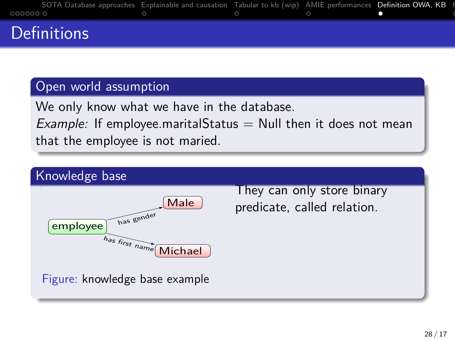<span id="page-27-0"></span>

|                    | SOTA Database approaches Explainable and causation Tabular to kb (wip) AMIE performances Definition OWA, KB F                                                                                                                 |  |  |
|--------------------|-------------------------------------------------------------------------------------------------------------------------------------------------------------------------------------------------------------------------------|--|--|
|                    | $0000000$ . $0$ , $0$ , $0$ , $0$ , $0$ , $0$ , $0$ , $0$ , $0$ , $0$ , $0$ , $0$ , $0$ , $0$ , $0$ , $0$ , $0$ , $0$ , $0$ , $0$ , $0$ , $0$ , $0$ , $0$ , $0$ , $0$ , $0$ , $0$ , $0$ , $0$ , $0$ , $0$ , $0$ , $0$ , $0$ , |  |  |
| <b>Definitions</b> |                                                                                                                                                                                                                               |  |  |

### Open world assumption

We only know what we have in the database.

*Example:* If employee marital Status  $=$  Null then it does not mean that the employee is not maried.

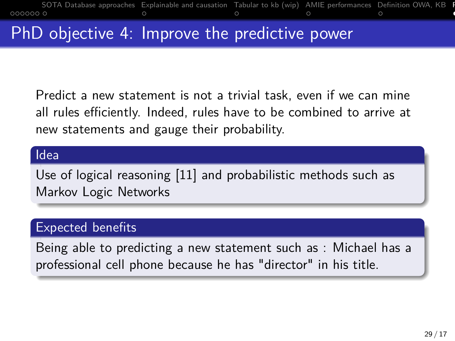<span id="page-28-0"></span>

Predict a new statement is not a trivial task, even if we can mine all rules efficiently. Indeed, rules have to be combined to arrive at new statements and gauge their probability.

#### Idea

Use of logical reasoning [\[11\]](#page-20-1) and probabilistic methods such as Markov Logic Networks

### Expected benefits

Being able to predicting a new statement such as : Michael has a professional cell phone because he has "director" in his title.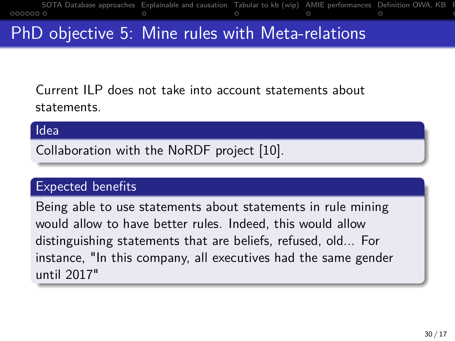<span id="page-29-0"></span>

# PhD objective 5: Mine rules with Meta-relations

Current ILP does not take into account statements about statements.

#### Idea

Collaboration with the NoRDF project [\[10\]](#page-20-2).

## Expected benefits

Being able to use statements about statements in rule mining would allow to have better rules. Indeed, this would allow distinguishing statements that are beliefs, refused, old... For instance, "In this company, all executives had the same gender until 2017"